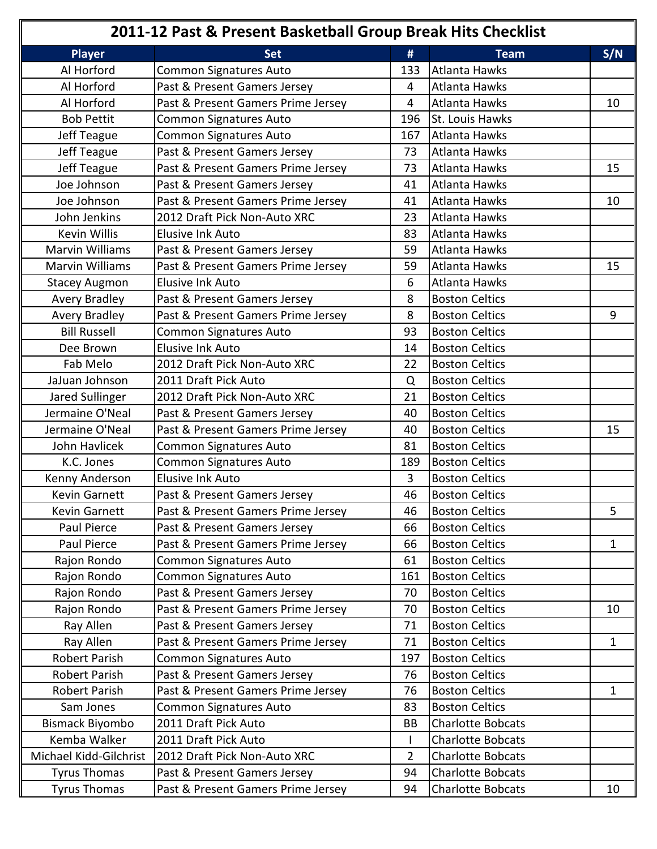| 2011-12 Past & Present Basketball Group Break Hits Checklist |                                    |                |                          |              |
|--------------------------------------------------------------|------------------------------------|----------------|--------------------------|--------------|
| <b>Player</b>                                                | <b>Set</b>                         | #              | <b>Team</b>              | S/N          |
| Al Horford                                                   | <b>Common Signatures Auto</b>      | 133            | Atlanta Hawks            |              |
| Al Horford                                                   | Past & Present Gamers Jersey       | 4              | <b>Atlanta Hawks</b>     |              |
| Al Horford                                                   | Past & Present Gamers Prime Jersey | 4              | Atlanta Hawks            | 10           |
| <b>Bob Pettit</b>                                            | Common Signatures Auto             | 196            | St. Louis Hawks          |              |
| Jeff Teague                                                  | Common Signatures Auto             | 167            | Atlanta Hawks            |              |
| Jeff Teague                                                  | Past & Present Gamers Jersey       | 73             | <b>Atlanta Hawks</b>     |              |
| Jeff Teague                                                  | Past & Present Gamers Prime Jersey | 73             | Atlanta Hawks            | 15           |
| Joe Johnson                                                  | Past & Present Gamers Jersey       | 41             | <b>Atlanta Hawks</b>     |              |
| Joe Johnson                                                  | Past & Present Gamers Prime Jersey | 41             | Atlanta Hawks            | 10           |
| John Jenkins                                                 | 2012 Draft Pick Non-Auto XRC       | 23             | Atlanta Hawks            |              |
| Kevin Willis                                                 | <b>Elusive Ink Auto</b>            | 83             | Atlanta Hawks            |              |
| <b>Marvin Williams</b>                                       | Past & Present Gamers Jersey       | 59             | Atlanta Hawks            |              |
| <b>Marvin Williams</b>                                       | Past & Present Gamers Prime Jersey | 59             | Atlanta Hawks            | 15           |
| <b>Stacey Augmon</b>                                         | <b>Elusive Ink Auto</b>            | 6              | Atlanta Hawks            |              |
| <b>Avery Bradley</b>                                         | Past & Present Gamers Jersey       | 8              | <b>Boston Celtics</b>    |              |
| <b>Avery Bradley</b>                                         | Past & Present Gamers Prime Jersey | 8              | <b>Boston Celtics</b>    | 9            |
| <b>Bill Russell</b>                                          | <b>Common Signatures Auto</b>      | 93             | <b>Boston Celtics</b>    |              |
| Dee Brown                                                    | <b>Elusive Ink Auto</b>            | 14             | <b>Boston Celtics</b>    |              |
| Fab Melo                                                     | 2012 Draft Pick Non-Auto XRC       | 22             | <b>Boston Celtics</b>    |              |
| JaJuan Johnson                                               | 2011 Draft Pick Auto               | Q              | <b>Boston Celtics</b>    |              |
| Jared Sullinger                                              | 2012 Draft Pick Non-Auto XRC       | 21             | <b>Boston Celtics</b>    |              |
| Jermaine O'Neal                                              | Past & Present Gamers Jersey       | 40             | <b>Boston Celtics</b>    |              |
| Jermaine O'Neal                                              | Past & Present Gamers Prime Jersey | 40             | <b>Boston Celtics</b>    | 15           |
| John Havlicek                                                | <b>Common Signatures Auto</b>      | 81             | <b>Boston Celtics</b>    |              |
| K.C. Jones                                                   | <b>Common Signatures Auto</b>      | 189            | <b>Boston Celtics</b>    |              |
| Kenny Anderson                                               | <b>Elusive Ink Auto</b>            | $\overline{3}$ | <b>Boston Celtics</b>    |              |
| Kevin Garnett                                                | Past & Present Gamers Jersey       | 46             | <b>Boston Celtics</b>    |              |
| Kevin Garnett                                                | Past & Present Gamers Prime Jersey | 46             | <b>Boston Celtics</b>    | 5            |
| Paul Pierce                                                  | Past & Present Gamers Jersey       | 66             | <b>Boston Celtics</b>    |              |
| Paul Pierce                                                  | Past & Present Gamers Prime Jersey | 66             | <b>Boston Celtics</b>    | $\mathbf{1}$ |
| Rajon Rondo                                                  | <b>Common Signatures Auto</b>      | 61             | <b>Boston Celtics</b>    |              |
| Rajon Rondo                                                  | Common Signatures Auto             | 161            | <b>Boston Celtics</b>    |              |
| Rajon Rondo                                                  | Past & Present Gamers Jersey       | 70             | <b>Boston Celtics</b>    |              |
| Rajon Rondo                                                  | Past & Present Gamers Prime Jersey | 70             | <b>Boston Celtics</b>    | 10           |
| Ray Allen                                                    | Past & Present Gamers Jersey       | 71             | <b>Boston Celtics</b>    |              |
| Ray Allen                                                    | Past & Present Gamers Prime Jersey | 71             | <b>Boston Celtics</b>    | 1            |
| <b>Robert Parish</b>                                         | <b>Common Signatures Auto</b>      | 197            | <b>Boston Celtics</b>    |              |
| Robert Parish                                                | Past & Present Gamers Jersey       | 76             | <b>Boston Celtics</b>    |              |
| Robert Parish                                                | Past & Present Gamers Prime Jersey | 76             | <b>Boston Celtics</b>    | 1            |
| Sam Jones                                                    | <b>Common Signatures Auto</b>      | 83             | <b>Boston Celtics</b>    |              |
| Bismack Biyombo                                              | 2011 Draft Pick Auto               | BB             | <b>Charlotte Bobcats</b> |              |
| Kemba Walker                                                 | 2011 Draft Pick Auto               |                | <b>Charlotte Bobcats</b> |              |
| Michael Kidd-Gilchrist                                       | 2012 Draft Pick Non-Auto XRC       | $\overline{2}$ | <b>Charlotte Bobcats</b> |              |
| <b>Tyrus Thomas</b>                                          | Past & Present Gamers Jersey       | 94             | <b>Charlotte Bobcats</b> |              |
| <b>Tyrus Thomas</b>                                          | Past & Present Gamers Prime Jersey | 94             | <b>Charlotte Bobcats</b> | 10           |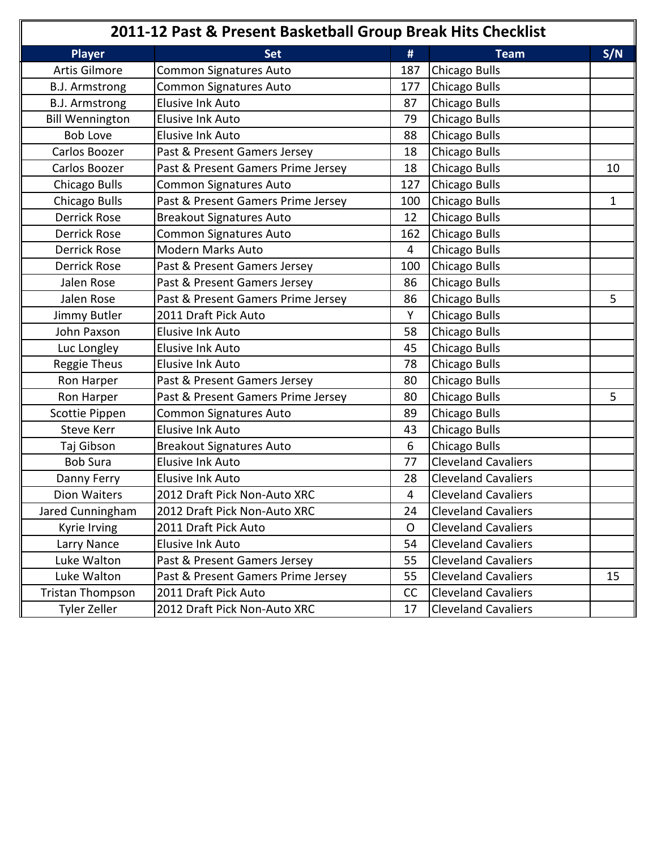| 2011-12 Past & Present Basketball Group Break Hits Checklist |                                    |     |                            |     |
|--------------------------------------------------------------|------------------------------------|-----|----------------------------|-----|
| <b>Player</b>                                                | <b>Set</b>                         | #   | <b>Team</b>                | S/N |
| <b>Artis Gilmore</b>                                         | <b>Common Signatures Auto</b>      | 187 | <b>Chicago Bulls</b>       |     |
| <b>B.J. Armstrong</b>                                        | Common Signatures Auto             | 177 | Chicago Bulls              |     |
| <b>B.J. Armstrong</b>                                        | Elusive Ink Auto                   | 87  | <b>Chicago Bulls</b>       |     |
| <b>Bill Wennington</b>                                       | Elusive Ink Auto                   | 79  | Chicago Bulls              |     |
| <b>Bob Love</b>                                              | <b>Elusive Ink Auto</b>            | 88  | Chicago Bulls              |     |
| Carlos Boozer                                                | Past & Present Gamers Jersey       | 18  | Chicago Bulls              |     |
| Carlos Boozer                                                | Past & Present Gamers Prime Jersey | 18  | Chicago Bulls              | 10  |
| Chicago Bulls                                                | Common Signatures Auto             | 127 | Chicago Bulls              |     |
| Chicago Bulls                                                | Past & Present Gamers Prime Jersey | 100 | Chicago Bulls              | 1   |
| <b>Derrick Rose</b>                                          | <b>Breakout Signatures Auto</b>    | 12  | Chicago Bulls              |     |
| <b>Derrick Rose</b>                                          | Common Signatures Auto             | 162 | Chicago Bulls              |     |
| <b>Derrick Rose</b>                                          | Modern Marks Auto                  | 4   | Chicago Bulls              |     |
| <b>Derrick Rose</b>                                          | Past & Present Gamers Jersey       | 100 | Chicago Bulls              |     |
| Jalen Rose                                                   | Past & Present Gamers Jersey       | 86  | Chicago Bulls              |     |
| Jalen Rose                                                   | Past & Present Gamers Prime Jersey | 86  | Chicago Bulls              | 5   |
| Jimmy Butler                                                 | 2011 Draft Pick Auto               | Υ   | Chicago Bulls              |     |
| John Paxson                                                  | Elusive Ink Auto                   | 58  | Chicago Bulls              |     |
| Luc Longley                                                  | <b>Elusive Ink Auto</b>            | 45  | Chicago Bulls              |     |
| Reggie Theus                                                 | <b>Elusive Ink Auto</b>            | 78  | Chicago Bulls              |     |
| Ron Harper                                                   | Past & Present Gamers Jersey       | 80  | Chicago Bulls              |     |
| Ron Harper                                                   | Past & Present Gamers Prime Jersey | 80  | <b>Chicago Bulls</b>       | 5   |
| Scottie Pippen                                               | Common Signatures Auto             | 89  | Chicago Bulls              |     |
| <b>Steve Kerr</b>                                            | Elusive Ink Auto                   | 43  | Chicago Bulls              |     |
| Taj Gibson                                                   | <b>Breakout Signatures Auto</b>    | 6   | Chicago Bulls              |     |
| <b>Bob Sura</b>                                              | <b>Elusive Ink Auto</b>            | 77  | <b>Cleveland Cavaliers</b> |     |
| Danny Ferry                                                  | Elusive Ink Auto                   | 28  | <b>Cleveland Cavaliers</b> |     |
| Dion Waiters                                                 | 2012 Draft Pick Non-Auto XRC       | 4   | <b>Cleveland Cavaliers</b> |     |
| Jared Cunningham                                             | 2012 Draft Pick Non-Auto XRC       | 24  | <b>Cleveland Cavaliers</b> |     |
| Kyrie Irving                                                 | 2011 Draft Pick Auto               | O   | <b>Cleveland Cavaliers</b> |     |
| Larry Nance                                                  | Elusive Ink Auto                   | 54  | <b>Cleveland Cavaliers</b> |     |
| Luke Walton                                                  | Past & Present Gamers Jersey       | 55  | <b>Cleveland Cavaliers</b> |     |
| Luke Walton                                                  | Past & Present Gamers Prime Jersey | 55  | <b>Cleveland Cavaliers</b> | 15  |
| <b>Tristan Thompson</b>                                      | 2011 Draft Pick Auto               | cc  | <b>Cleveland Cavaliers</b> |     |
| Tyler Zeller                                                 | 2012 Draft Pick Non-Auto XRC       | 17  | <b>Cleveland Cavaliers</b> |     |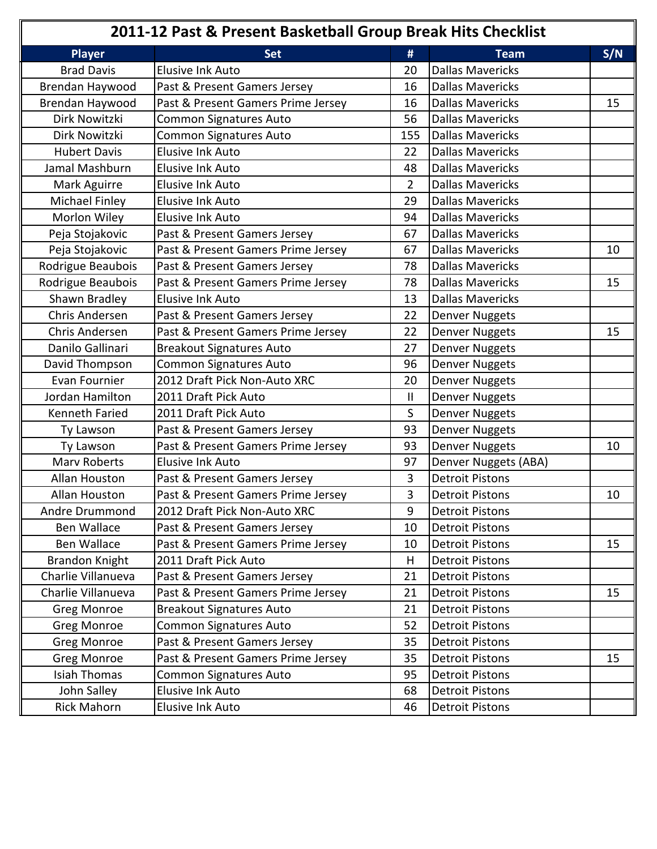| 2011-12 Past & Present Basketball Group Break Hits Checklist |                                    |                           |                         |     |
|--------------------------------------------------------------|------------------------------------|---------------------------|-------------------------|-----|
| <b>Player</b>                                                | <b>Set</b>                         | #                         | <b>Team</b>             | S/N |
| <b>Brad Davis</b>                                            | <b>Elusive Ink Auto</b>            | 20                        | Dallas Mavericks        |     |
| Brendan Haywood                                              | Past & Present Gamers Jersey       | 16                        | Dallas Mavericks        |     |
| Brendan Haywood                                              | Past & Present Gamers Prime Jersey | 16                        | Dallas Mavericks        | 15  |
| Dirk Nowitzki                                                | Common Signatures Auto             | 56                        | <b>Dallas Mavericks</b> |     |
| Dirk Nowitzki                                                | Common Signatures Auto             | 155                       | Dallas Mavericks        |     |
| <b>Hubert Davis</b>                                          | <b>Elusive Ink Auto</b>            | 22                        | <b>Dallas Mavericks</b> |     |
| Jamal Mashburn                                               | <b>Elusive Ink Auto</b>            | 48                        | <b>Dallas Mavericks</b> |     |
| Mark Aguirre                                                 | <b>Elusive Ink Auto</b>            | $\overline{2}$            | <b>Dallas Mavericks</b> |     |
| <b>Michael Finley</b>                                        | <b>Elusive Ink Auto</b>            | 29                        | <b>Dallas Mavericks</b> |     |
| Morlon Wiley                                                 | <b>Elusive Ink Auto</b>            | 94                        | Dallas Mavericks        |     |
| Peja Stojakovic                                              | Past & Present Gamers Jersey       | 67                        | Dallas Mavericks        |     |
| Peja Stojakovic                                              | Past & Present Gamers Prime Jersey | 67                        | <b>Dallas Mavericks</b> | 10  |
| Rodrigue Beaubois                                            | Past & Present Gamers Jersey       | 78                        | <b>Dallas Mavericks</b> |     |
| Rodrigue Beaubois                                            | Past & Present Gamers Prime Jersey | 78                        | <b>Dallas Mavericks</b> | 15  |
| Shawn Bradley                                                | <b>Elusive Ink Auto</b>            | 13                        | <b>Dallas Mavericks</b> |     |
| <b>Chris Andersen</b>                                        | Past & Present Gamers Jersey       | 22                        | Denver Nuggets          |     |
| <b>Chris Andersen</b>                                        | Past & Present Gamers Prime Jersey | 22                        | <b>Denver Nuggets</b>   | 15  |
| Danilo Gallinari                                             | <b>Breakout Signatures Auto</b>    | 27                        | Denver Nuggets          |     |
| David Thompson                                               | Common Signatures Auto             | 96                        | Denver Nuggets          |     |
| Evan Fournier                                                | 2012 Draft Pick Non-Auto XRC       | 20                        | Denver Nuggets          |     |
| Jordan Hamilton                                              | 2011 Draft Pick Auto               | $\mathop{\rm H}\nolimits$ | <b>Denver Nuggets</b>   |     |
| Kenneth Faried                                               | 2011 Draft Pick Auto               | S                         | Denver Nuggets          |     |
| Ty Lawson                                                    | Past & Present Gamers Jersey       | 93                        | <b>Denver Nuggets</b>   |     |
| Ty Lawson                                                    | Past & Present Gamers Prime Jersey | 93                        | Denver Nuggets          | 10  |
| <b>Marv Roberts</b>                                          | <b>Elusive Ink Auto</b>            | 97                        | Denver Nuggets (ABA)    |     |
| Allan Houston                                                | Past & Present Gamers Jersey       | 3                         | <b>Detroit Pistons</b>  |     |
| Allan Houston                                                | Past & Present Gamers Prime Jersey | 3                         | Detroit Pistons         | 10  |
| Andre Drummond                                               | 2012 Draft Pick Non-Auto XRC       | 9                         | <b>Detroit Pistons</b>  |     |
| <b>Ben Wallace</b>                                           | Past & Present Gamers Jersey       | 10                        | Detroit Pistons         |     |
| Ben Wallace                                                  | Past & Present Gamers Prime Jersey | 10                        | Detroit Pistons         | 15  |
| <b>Brandon Knight</b>                                        | 2011 Draft Pick Auto               | H.                        | <b>Detroit Pistons</b>  |     |
| Charlie Villanueva                                           | Past & Present Gamers Jersey       | 21                        | <b>Detroit Pistons</b>  |     |
| Charlie Villanueva                                           | Past & Present Gamers Prime Jersey | 21                        | <b>Detroit Pistons</b>  | 15  |
| <b>Greg Monroe</b>                                           | <b>Breakout Signatures Auto</b>    | 21                        | <b>Detroit Pistons</b>  |     |
| <b>Greg Monroe</b>                                           | Common Signatures Auto             | 52                        | <b>Detroit Pistons</b>  |     |
| <b>Greg Monroe</b>                                           | Past & Present Gamers Jersey       | 35                        | <b>Detroit Pistons</b>  |     |
| <b>Greg Monroe</b>                                           | Past & Present Gamers Prime Jersey | 35                        | <b>Detroit Pistons</b>  | 15  |
| Isiah Thomas                                                 | Common Signatures Auto             | 95                        | <b>Detroit Pistons</b>  |     |
| John Salley                                                  | Elusive Ink Auto                   | 68                        | <b>Detroit Pistons</b>  |     |
| <b>Rick Mahorn</b>                                           | Elusive Ink Auto                   | 46                        | <b>Detroit Pistons</b>  |     |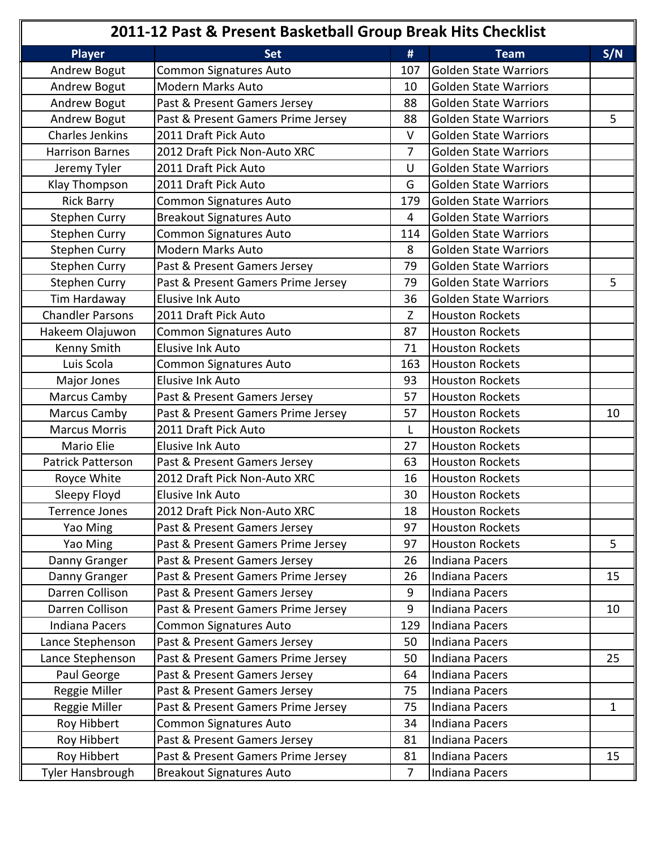| 2011-12 Past & Present Basketball Group Break Hits Checklist |                                    |                |                              |     |
|--------------------------------------------------------------|------------------------------------|----------------|------------------------------|-----|
| <b>Player</b>                                                | <b>Set</b>                         | #              | <b>Team</b>                  | S/N |
| Andrew Bogut                                                 | <b>Common Signatures Auto</b>      | 107            | Golden State Warriors        |     |
| Andrew Bogut                                                 | <b>Modern Marks Auto</b>           | 10             | Golden State Warriors        |     |
| Andrew Bogut                                                 | Past & Present Gamers Jersey       | 88             | Golden State Warriors        |     |
| Andrew Bogut                                                 | Past & Present Gamers Prime Jersey | 88             | <b>Golden State Warriors</b> | 5   |
| <b>Charles Jenkins</b>                                       | 2011 Draft Pick Auto               | $\vee$         | <b>Golden State Warriors</b> |     |
| <b>Harrison Barnes</b>                                       | 2012 Draft Pick Non-Auto XRC       | 7              | <b>Golden State Warriors</b> |     |
| Jeremy Tyler                                                 | 2011 Draft Pick Auto               | U              | <b>Golden State Warriors</b> |     |
| Klay Thompson                                                | 2011 Draft Pick Auto               | G              | <b>Golden State Warriors</b> |     |
| <b>Rick Barry</b>                                            | Common Signatures Auto             | 179            | Golden State Warriors        |     |
| <b>Stephen Curry</b>                                         | <b>Breakout Signatures Auto</b>    | 4              | <b>Golden State Warriors</b> |     |
| <b>Stephen Curry</b>                                         | <b>Common Signatures Auto</b>      | 114            | Golden State Warriors        |     |
| <b>Stephen Curry</b>                                         | <b>Modern Marks Auto</b>           | 8              | <b>Golden State Warriors</b> |     |
| <b>Stephen Curry</b>                                         | Past & Present Gamers Jersey       | 79             | <b>Golden State Warriors</b> |     |
| <b>Stephen Curry</b>                                         | Past & Present Gamers Prime Jersey | 79             | <b>Golden State Warriors</b> | 5   |
| Tim Hardaway                                                 | Elusive Ink Auto                   | 36             | Golden State Warriors        |     |
| <b>Chandler Parsons</b>                                      | 2011 Draft Pick Auto               | Z              | <b>Houston Rockets</b>       |     |
| Hakeem Olajuwon                                              | <b>Common Signatures Auto</b>      | 87             | <b>Houston Rockets</b>       |     |
| Kenny Smith                                                  | <b>Elusive Ink Auto</b>            | 71             | <b>Houston Rockets</b>       |     |
| Luis Scola                                                   | Common Signatures Auto             | 163            | <b>Houston Rockets</b>       |     |
| Major Jones                                                  | <b>Elusive Ink Auto</b>            | 93             | <b>Houston Rockets</b>       |     |
| Marcus Camby                                                 | Past & Present Gamers Jersey       | 57             | <b>Houston Rockets</b>       |     |
| <b>Marcus Camby</b>                                          | Past & Present Gamers Prime Jersey | 57             | <b>Houston Rockets</b>       | 10  |
| <b>Marcus Morris</b>                                         | 2011 Draft Pick Auto               | L              | <b>Houston Rockets</b>       |     |
| Mario Elie                                                   | <b>Elusive Ink Auto</b>            | 27             | <b>Houston Rockets</b>       |     |
| <b>Patrick Patterson</b>                                     | Past & Present Gamers Jersey       | 63             | <b>Houston Rockets</b>       |     |
| Royce White                                                  | 2012 Draft Pick Non-Auto XRC       | 16             | <b>Houston Rockets</b>       |     |
| Sleepy Floyd                                                 | Elusive Ink Auto                   | 30             | <b>Houston Rockets</b>       |     |
| <b>Terrence Jones</b>                                        | 2012 Draft Pick Non-Auto XRC       | 18             | Houston Rockets              |     |
| Yao Ming                                                     | Past & Present Gamers Jersey       | 97             | <b>Houston Rockets</b>       |     |
| Yao Ming                                                     | Past & Present Gamers Prime Jersey | 97             | <b>Houston Rockets</b>       | 5   |
| Danny Granger                                                | Past & Present Gamers Jersey       | 26             | Indiana Pacers               |     |
| Danny Granger                                                | Past & Present Gamers Prime Jersey | 26             | Indiana Pacers               | 15  |
| Darren Collison                                              | Past & Present Gamers Jersey       | 9              | Indiana Pacers               |     |
| Darren Collison                                              | Past & Present Gamers Prime Jersey | 9              | Indiana Pacers               | 10  |
| <b>Indiana Pacers</b>                                        | <b>Common Signatures Auto</b>      | 129            | Indiana Pacers               |     |
| Lance Stephenson                                             | Past & Present Gamers Jersey       | 50             | Indiana Pacers               |     |
| Lance Stephenson                                             | Past & Present Gamers Prime Jersey | 50             | Indiana Pacers               | 25  |
| Paul George                                                  | Past & Present Gamers Jersey       | 64             | Indiana Pacers               |     |
| Reggie Miller                                                | Past & Present Gamers Jersey       | 75             | Indiana Pacers               |     |
| Reggie Miller                                                | Past & Present Gamers Prime Jersey | 75             | Indiana Pacers               | 1   |
| Roy Hibbert                                                  | Common Signatures Auto             | 34             | Indiana Pacers               |     |
| Roy Hibbert                                                  | Past & Present Gamers Jersey       | 81             | Indiana Pacers               |     |
| Roy Hibbert                                                  | Past & Present Gamers Prime Jersey | 81             | Indiana Pacers               | 15  |
| Tyler Hansbrough                                             | <b>Breakout Signatures Auto</b>    | $\overline{7}$ | Indiana Pacers               |     |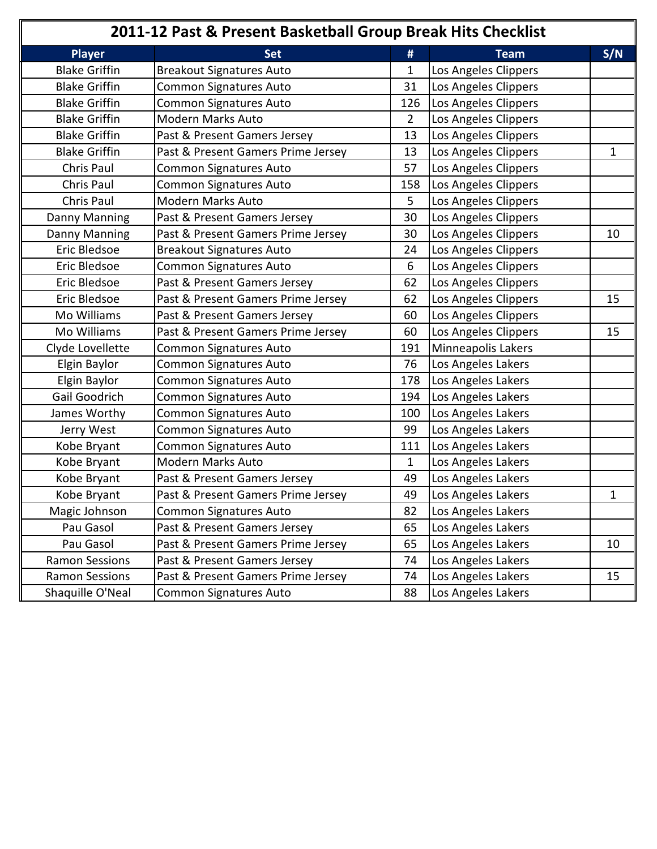| 2011-12 Past & Present Basketball Group Break Hits Checklist |                                    |                |                      |     |
|--------------------------------------------------------------|------------------------------------|----------------|----------------------|-----|
| <b>Player</b>                                                | <b>Set</b>                         | #              | <b>Team</b>          | S/N |
| <b>Blake Griffin</b>                                         | <b>Breakout Signatures Auto</b>    | 1              | Los Angeles Clippers |     |
| <b>Blake Griffin</b>                                         | Common Signatures Auto             | 31             | Los Angeles Clippers |     |
| <b>Blake Griffin</b>                                         | <b>Common Signatures Auto</b>      | 126            | Los Angeles Clippers |     |
| <b>Blake Griffin</b>                                         | <b>Modern Marks Auto</b>           | $\overline{2}$ | Los Angeles Clippers |     |
| <b>Blake Griffin</b>                                         | Past & Present Gamers Jersey       | 13             | Los Angeles Clippers |     |
| <b>Blake Griffin</b>                                         | Past & Present Gamers Prime Jersey | 13             | Los Angeles Clippers | 1   |
| Chris Paul                                                   | <b>Common Signatures Auto</b>      | 57             | Los Angeles Clippers |     |
| <b>Chris Paul</b>                                            | Common Signatures Auto             | 158            | Los Angeles Clippers |     |
| <b>Chris Paul</b>                                            | Modern Marks Auto                  | 5              | Los Angeles Clippers |     |
| Danny Manning                                                | Past & Present Gamers Jersey       | 30             | Los Angeles Clippers |     |
| Danny Manning                                                | Past & Present Gamers Prime Jersey | 30             | Los Angeles Clippers | 10  |
| Eric Bledsoe                                                 | <b>Breakout Signatures Auto</b>    | 24             | Los Angeles Clippers |     |
| Eric Bledsoe                                                 | <b>Common Signatures Auto</b>      | 6              | Los Angeles Clippers |     |
| Eric Bledsoe                                                 | Past & Present Gamers Jersey       | 62             | Los Angeles Clippers |     |
| Eric Bledsoe                                                 | Past & Present Gamers Prime Jersey | 62             | Los Angeles Clippers | 15  |
| Mo Williams                                                  | Past & Present Gamers Jersey       | 60             | Los Angeles Clippers |     |
| Mo Williams                                                  | Past & Present Gamers Prime Jersey | 60             | Los Angeles Clippers | 15  |
| Clyde Lovellette                                             | <b>Common Signatures Auto</b>      | 191            | Minneapolis Lakers   |     |
| Elgin Baylor                                                 | Common Signatures Auto             | 76             | Los Angeles Lakers   |     |
| Elgin Baylor                                                 | <b>Common Signatures Auto</b>      | 178            | Los Angeles Lakers   |     |
| Gail Goodrich                                                | Common Signatures Auto             | 194            | Los Angeles Lakers   |     |
| James Worthy                                                 | Common Signatures Auto             | 100            | Los Angeles Lakers   |     |
| Jerry West                                                   | Common Signatures Auto             | 99             | Los Angeles Lakers   |     |
| Kobe Bryant                                                  | Common Signatures Auto             | 111            | Los Angeles Lakers   |     |
| Kobe Bryant                                                  | <b>Modern Marks Auto</b>           | $\mathbf{1}$   | Los Angeles Lakers   |     |
| Kobe Bryant                                                  | Past & Present Gamers Jersey       | 49             | Los Angeles Lakers   |     |
| Kobe Bryant                                                  | Past & Present Gamers Prime Jersey | 49             | Los Angeles Lakers   | 1   |
| Magic Johnson                                                | Common Signatures Auto             | 82             | Los Angeles Lakers   |     |
| Pau Gasol                                                    | Past & Present Gamers Jersey       | 65             | Los Angeles Lakers   |     |
| Pau Gasol                                                    | Past & Present Gamers Prime Jersey | 65             | Los Angeles Lakers   | 10  |
| <b>Ramon Sessions</b>                                        | Past & Present Gamers Jersey       | 74             | Los Angeles Lakers   |     |
| <b>Ramon Sessions</b>                                        | Past & Present Gamers Prime Jersey | 74             | Los Angeles Lakers   | 15  |
| Shaquille O'Neal                                             | Common Signatures Auto             | 88             | Los Angeles Lakers   |     |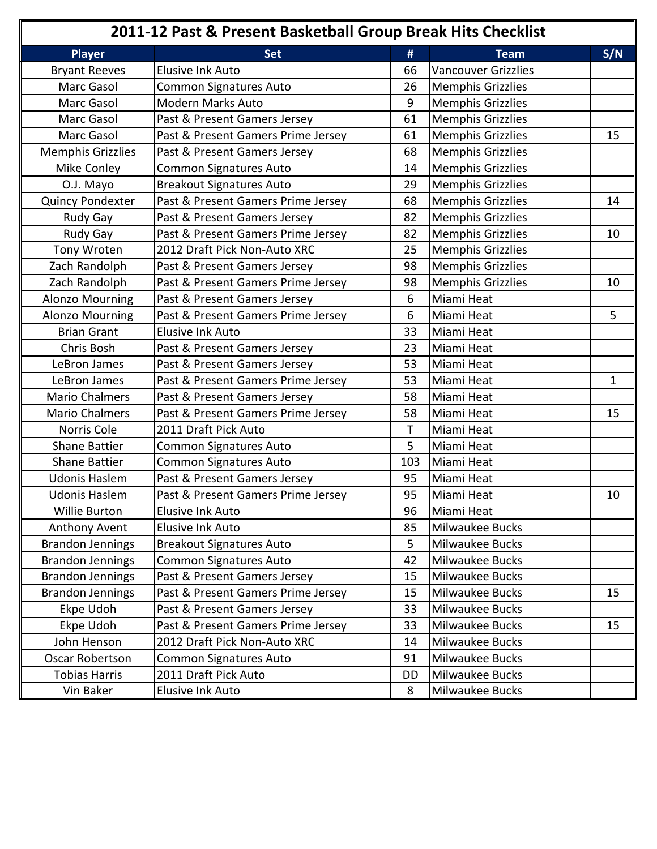| 2011-12 Past & Present Basketball Group Break Hits Checklist |                                    |     |                            |              |
|--------------------------------------------------------------|------------------------------------|-----|----------------------------|--------------|
| <b>Player</b>                                                | <b>Set</b>                         | #   | <b>Team</b>                | S/N          |
| <b>Bryant Reeves</b>                                         | <b>Elusive Ink Auto</b>            | 66  | <b>Vancouver Grizzlies</b> |              |
| Marc Gasol                                                   | Common Signatures Auto             | 26  | <b>Memphis Grizzlies</b>   |              |
| Marc Gasol                                                   | <b>Modern Marks Auto</b>           | 9   | <b>Memphis Grizzlies</b>   |              |
| Marc Gasol                                                   | Past & Present Gamers Jersey       | 61  | <b>Memphis Grizzlies</b>   |              |
| Marc Gasol                                                   | Past & Present Gamers Prime Jersey | 61  | <b>Memphis Grizzlies</b>   | 15           |
| <b>Memphis Grizzlies</b>                                     | Past & Present Gamers Jersey       | 68  | <b>Memphis Grizzlies</b>   |              |
| Mike Conley                                                  | <b>Common Signatures Auto</b>      | 14  | <b>Memphis Grizzlies</b>   |              |
| O.J. Mayo                                                    | <b>Breakout Signatures Auto</b>    | 29  | <b>Memphis Grizzlies</b>   |              |
| Quincy Pondexter                                             | Past & Present Gamers Prime Jersey | 68  | <b>Memphis Grizzlies</b>   | 14           |
| Rudy Gay                                                     | Past & Present Gamers Jersey       | 82  | <b>Memphis Grizzlies</b>   |              |
| Rudy Gay                                                     | Past & Present Gamers Prime Jersey | 82  | <b>Memphis Grizzlies</b>   | 10           |
| Tony Wroten                                                  | 2012 Draft Pick Non-Auto XRC       | 25  | <b>Memphis Grizzlies</b>   |              |
| Zach Randolph                                                | Past & Present Gamers Jersey       | 98  | <b>Memphis Grizzlies</b>   |              |
| Zach Randolph                                                | Past & Present Gamers Prime Jersey | 98  | <b>Memphis Grizzlies</b>   | 10           |
| <b>Alonzo Mourning</b>                                       | Past & Present Gamers Jersey       | 6   | Miami Heat                 |              |
| <b>Alonzo Mourning</b>                                       | Past & Present Gamers Prime Jersey | 6   | Miami Heat                 | 5            |
| <b>Brian Grant</b>                                           | <b>Elusive Ink Auto</b>            | 33  | Miami Heat                 |              |
| Chris Bosh                                                   | Past & Present Gamers Jersey       | 23  | Miami Heat                 |              |
| LeBron James                                                 | Past & Present Gamers Jersey       | 53  | Miami Heat                 |              |
| LeBron James                                                 | Past & Present Gamers Prime Jersey | 53  | Miami Heat                 | $\mathbf{1}$ |
| <b>Mario Chalmers</b>                                        | Past & Present Gamers Jersey       | 58  | Miami Heat                 |              |
| <b>Mario Chalmers</b>                                        | Past & Present Gamers Prime Jersey | 58  | Miami Heat                 | 15           |
| Norris Cole                                                  | 2011 Draft Pick Auto               | т   | Miami Heat                 |              |
| <b>Shane Battier</b>                                         | Common Signatures Auto             | 5   | Miami Heat                 |              |
| <b>Shane Battier</b>                                         | <b>Common Signatures Auto</b>      | 103 | Miami Heat                 |              |
| <b>Udonis Haslem</b>                                         | Past & Present Gamers Jersey       | 95  | Miami Heat                 |              |
| <b>Udonis Haslem</b>                                         | Past & Present Gamers Prime Jersey | 95  | Miami Heat                 | 10           |
| Willie Burton                                                | Elusive Ink Auto                   | 96  | Miami Heat                 |              |
| Anthony Avent                                                | Elusive Ink Auto                   | 85  | Milwaukee Bucks            |              |
| <b>Brandon Jennings</b>                                      | <b>Breakout Signatures Auto</b>    | 5   | Milwaukee Bucks            |              |
| <b>Brandon Jennings</b>                                      | <b>Common Signatures Auto</b>      | 42  | Milwaukee Bucks            |              |
| <b>Brandon Jennings</b>                                      | Past & Present Gamers Jersey       | 15  | Milwaukee Bucks            |              |
| <b>Brandon Jennings</b>                                      | Past & Present Gamers Prime Jersey | 15  | Milwaukee Bucks            | 15           |
| Ekpe Udoh                                                    | Past & Present Gamers Jersey       | 33  | Milwaukee Bucks            |              |
| Ekpe Udoh                                                    | Past & Present Gamers Prime Jersey | 33  | Milwaukee Bucks            | 15           |
| John Henson                                                  | 2012 Draft Pick Non-Auto XRC       | 14  | Milwaukee Bucks            |              |
| <b>Oscar Robertson</b>                                       | Common Signatures Auto             | 91  | Milwaukee Bucks            |              |
| <b>Tobias Harris</b>                                         | 2011 Draft Pick Auto               | DD  | Milwaukee Bucks            |              |
| Vin Baker                                                    | Elusive Ink Auto                   | 8   | Milwaukee Bucks            |              |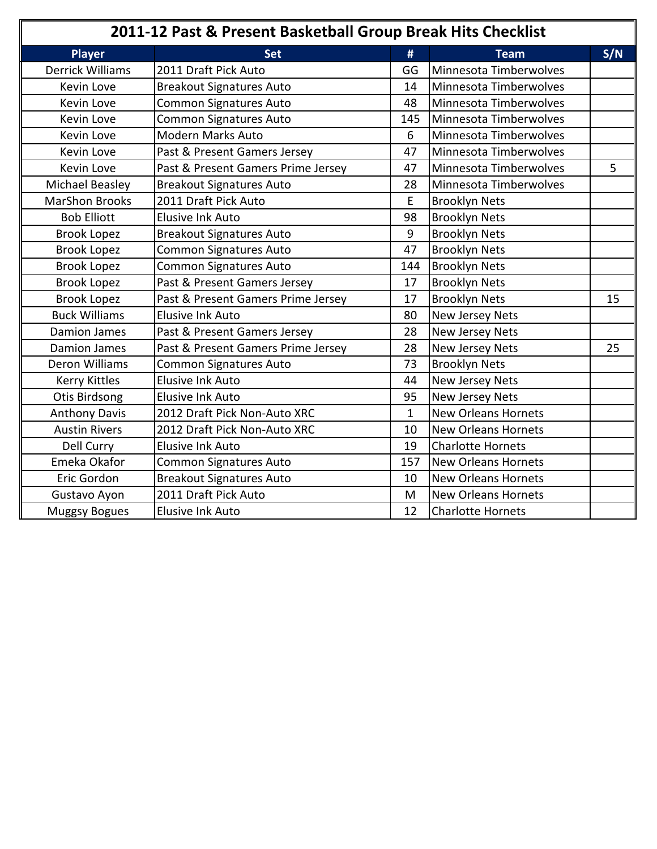| 2011-12 Past & Present Basketball Group Break Hits Checklist |                                    |              |                            |     |
|--------------------------------------------------------------|------------------------------------|--------------|----------------------------|-----|
| <b>Player</b>                                                | <b>Set</b>                         | #            | <b>Team</b>                | S/N |
| <b>Derrick Williams</b>                                      | 2011 Draft Pick Auto               | GG           | Minnesota Timberwolves     |     |
| Kevin Love                                                   | <b>Breakout Signatures Auto</b>    | 14           | Minnesota Timberwolves     |     |
| Kevin Love                                                   | Common Signatures Auto             | 48           | Minnesota Timberwolves     |     |
| Kevin Love                                                   | <b>Common Signatures Auto</b>      | 145          | Minnesota Timberwolves     |     |
| Kevin Love                                                   | <b>Modern Marks Auto</b>           | 6            | Minnesota Timberwolves     |     |
| Kevin Love                                                   | Past & Present Gamers Jersey       | 47           | Minnesota Timberwolves     |     |
| Kevin Love                                                   | Past & Present Gamers Prime Jersey | 47           | Minnesota Timberwolves     | 5   |
| Michael Beasley                                              | <b>Breakout Signatures Auto</b>    | 28           | Minnesota Timberwolves     |     |
| <b>MarShon Brooks</b>                                        | 2011 Draft Pick Auto               | E            | <b>Brooklyn Nets</b>       |     |
| <b>Bob Elliott</b>                                           | <b>Elusive Ink Auto</b>            | 98           | <b>Brooklyn Nets</b>       |     |
| <b>Brook Lopez</b>                                           | <b>Breakout Signatures Auto</b>    | 9            | <b>Brooklyn Nets</b>       |     |
| <b>Brook Lopez</b>                                           | <b>Common Signatures Auto</b>      | 47           | <b>Brooklyn Nets</b>       |     |
| <b>Brook Lopez</b>                                           | Common Signatures Auto             | 144          | <b>Brooklyn Nets</b>       |     |
| <b>Brook Lopez</b>                                           | Past & Present Gamers Jersey       | 17           | <b>Brooklyn Nets</b>       |     |
| <b>Brook Lopez</b>                                           | Past & Present Gamers Prime Jersey | 17           | <b>Brooklyn Nets</b>       | 15  |
| <b>Buck Williams</b>                                         | Elusive Ink Auto                   | 80           | New Jersey Nets            |     |
| <b>Damion James</b>                                          | Past & Present Gamers Jersey       | 28           | New Jersey Nets            |     |
| <b>Damion James</b>                                          | Past & Present Gamers Prime Jersey | 28           | New Jersey Nets            | 25  |
| <b>Deron Williams</b>                                        | <b>Common Signatures Auto</b>      | 73           | <b>Brooklyn Nets</b>       |     |
| <b>Kerry Kittles</b>                                         | <b>Elusive Ink Auto</b>            | 44           | New Jersey Nets            |     |
| Otis Birdsong                                                | <b>Elusive Ink Auto</b>            | 95           | New Jersey Nets            |     |
| <b>Anthony Davis</b>                                         | 2012 Draft Pick Non-Auto XRC       | $\mathbf{1}$ | <b>New Orleans Hornets</b> |     |
| <b>Austin Rivers</b>                                         | 2012 Draft Pick Non-Auto XRC       | 10           | <b>New Orleans Hornets</b> |     |
| Dell Curry                                                   | <b>Elusive Ink Auto</b>            | 19           | <b>Charlotte Hornets</b>   |     |
| Emeka Okafor                                                 | Common Signatures Auto             | 157          | <b>New Orleans Hornets</b> |     |
| Eric Gordon                                                  | <b>Breakout Signatures Auto</b>    | 10           | <b>New Orleans Hornets</b> |     |
| Gustavo Ayon                                                 | 2011 Draft Pick Auto               | M            | <b>New Orleans Hornets</b> |     |
| <b>Muggsy Bogues</b>                                         | Elusive Ink Auto                   | 12           | <b>Charlotte Hornets</b>   |     |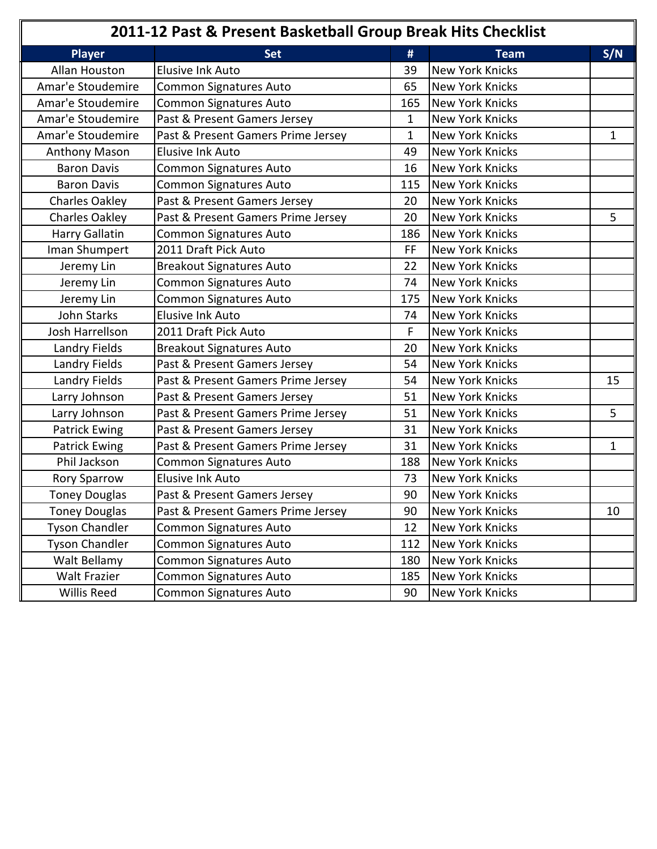| 2011-12 Past & Present Basketball Group Break Hits Checklist |                                    |              |                        |     |
|--------------------------------------------------------------|------------------------------------|--------------|------------------------|-----|
| <b>Player</b>                                                | <b>Set</b>                         | #            | <b>Team</b>            | S/N |
| Allan Houston                                                | <b>Elusive Ink Auto</b>            | 39           | <b>New York Knicks</b> |     |
| Amar'e Stoudemire                                            | <b>Common Signatures Auto</b>      | 65           | <b>New York Knicks</b> |     |
| Amar'e Stoudemire                                            | <b>Common Signatures Auto</b>      | 165          | <b>New York Knicks</b> |     |
| Amar'e Stoudemire                                            | Past & Present Gamers Jersey       | 1            | <b>New York Knicks</b> |     |
| Amar'e Stoudemire                                            | Past & Present Gamers Prime Jersey | $\mathbf{1}$ | <b>New York Knicks</b> | 1   |
| <b>Anthony Mason</b>                                         | <b>Elusive Ink Auto</b>            | 49           | <b>New York Knicks</b> |     |
| <b>Baron Davis</b>                                           | Common Signatures Auto             | 16           | <b>New York Knicks</b> |     |
| <b>Baron Davis</b>                                           | Common Signatures Auto             | 115          | New York Knicks        |     |
| <b>Charles Oakley</b>                                        | Past & Present Gamers Jersey       | 20           | <b>New York Knicks</b> |     |
| <b>Charles Oakley</b>                                        | Past & Present Gamers Prime Jersey | 20           | <b>New York Knicks</b> | 5   |
| <b>Harry Gallatin</b>                                        | Common Signatures Auto             | 186          | <b>New York Knicks</b> |     |
| Iman Shumpert                                                | 2011 Draft Pick Auto               | <b>FF</b>    | <b>New York Knicks</b> |     |
| Jeremy Lin                                                   | <b>Breakout Signatures Auto</b>    | 22           | <b>New York Knicks</b> |     |
| Jeremy Lin                                                   | Common Signatures Auto             | 74           | <b>New York Knicks</b> |     |
| Jeremy Lin                                                   | Common Signatures Auto             | 175          | <b>New York Knicks</b> |     |
| <b>John Starks</b>                                           | Elusive Ink Auto                   | 74           | <b>New York Knicks</b> |     |
| Josh Harrellson                                              | 2011 Draft Pick Auto               | F            | <b>New York Knicks</b> |     |
| Landry Fields                                                | <b>Breakout Signatures Auto</b>    | 20           | <b>New York Knicks</b> |     |
| Landry Fields                                                | Past & Present Gamers Jersey       | 54           | New York Knicks        |     |
| Landry Fields                                                | Past & Present Gamers Prime Jersey | 54           | New York Knicks        | 15  |
| Larry Johnson                                                | Past & Present Gamers Jersey       | 51           | <b>New York Knicks</b> |     |
| Larry Johnson                                                | Past & Present Gamers Prime Jersey | 51           | <b>New York Knicks</b> | 5   |
| <b>Patrick Ewing</b>                                         | Past & Present Gamers Jersey       | 31           | <b>New York Knicks</b> |     |
| <b>Patrick Ewing</b>                                         | Past & Present Gamers Prime Jersey | 31           | New York Knicks        | 1   |
| Phil Jackson                                                 | Common Signatures Auto             | 188          | New York Knicks        |     |
| Rory Sparrow                                                 | Elusive Ink Auto                   | 73           | <b>New York Knicks</b> |     |
| <b>Toney Douglas</b>                                         | Past & Present Gamers Jersey       | 90           | New York Knicks        |     |
| <b>Toney Douglas</b>                                         | Past & Present Gamers Prime Jersey | 90           | <b>New York Knicks</b> | 10  |
| <b>Tyson Chandler</b>                                        | Common Signatures Auto             | 12           | New York Knicks        |     |
| <b>Tyson Chandler</b>                                        | Common Signatures Auto             | 112          | New York Knicks        |     |
| Walt Bellamy                                                 | Common Signatures Auto             | 180          | <b>New York Knicks</b> |     |
| Walt Frazier                                                 | Common Signatures Auto             | 185          | New York Knicks        |     |
| Willis Reed                                                  | Common Signatures Auto             | 90           | New York Knicks        |     |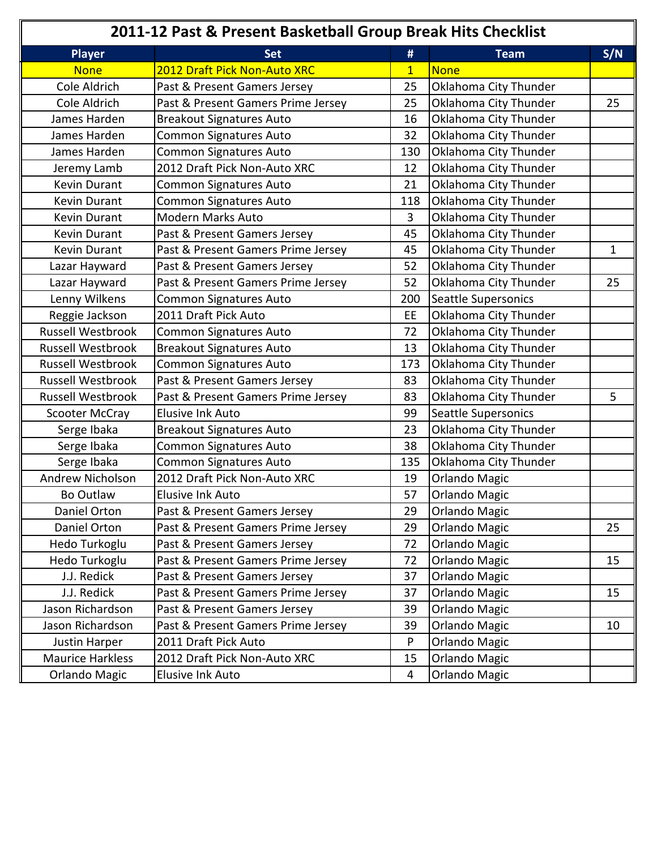| 2011-12 Past & Present Basketball Group Break Hits Checklist |                                    |                |                       |     |
|--------------------------------------------------------------|------------------------------------|----------------|-----------------------|-----|
| <b>Player</b>                                                | <b>Set</b>                         | #              | <b>Team</b>           | S/N |
| <b>None</b>                                                  | 2012 Draft Pick Non-Auto XRC       | $\overline{1}$ | None                  |     |
| Cole Aldrich                                                 | Past & Present Gamers Jersey       | 25             | Oklahoma City Thunder |     |
| Cole Aldrich                                                 | Past & Present Gamers Prime Jersey | 25             | Oklahoma City Thunder | 25  |
| James Harden                                                 | <b>Breakout Signatures Auto</b>    | 16             | Oklahoma City Thunder |     |
| James Harden                                                 | <b>Common Signatures Auto</b>      | 32             | Oklahoma City Thunder |     |
| James Harden                                                 | Common Signatures Auto             | 130            | Oklahoma City Thunder |     |
| Jeremy Lamb                                                  | 2012 Draft Pick Non-Auto XRC       | 12             | Oklahoma City Thunder |     |
| Kevin Durant                                                 | <b>Common Signatures Auto</b>      | 21             | Oklahoma City Thunder |     |
| Kevin Durant                                                 | <b>Common Signatures Auto</b>      | 118            | Oklahoma City Thunder |     |
| Kevin Durant                                                 | <b>Modern Marks Auto</b>           | 3              | Oklahoma City Thunder |     |
| Kevin Durant                                                 | Past & Present Gamers Jersey       | 45             | Oklahoma City Thunder |     |
| Kevin Durant                                                 | Past & Present Gamers Prime Jersey | 45             | Oklahoma City Thunder | 1   |
| Lazar Hayward                                                | Past & Present Gamers Jersey       | 52             | Oklahoma City Thunder |     |
| Lazar Hayward                                                | Past & Present Gamers Prime Jersey | 52             | Oklahoma City Thunder | 25  |
| Lenny Wilkens                                                | Common Signatures Auto             | 200            | Seattle Supersonics   |     |
| Reggie Jackson                                               | 2011 Draft Pick Auto               | EE             | Oklahoma City Thunder |     |
| <b>Russell Westbrook</b>                                     | Common Signatures Auto             | 72             | Oklahoma City Thunder |     |
| <b>Russell Westbrook</b>                                     | <b>Breakout Signatures Auto</b>    | 13             | Oklahoma City Thunder |     |
| <b>Russell Westbrook</b>                                     | <b>Common Signatures Auto</b>      | 173            | Oklahoma City Thunder |     |
| <b>Russell Westbrook</b>                                     | Past & Present Gamers Jersey       | 83             | Oklahoma City Thunder |     |
| <b>Russell Westbrook</b>                                     | Past & Present Gamers Prime Jersey | 83             | Oklahoma City Thunder | 5   |
| Scooter McCray                                               | <b>Elusive Ink Auto</b>            | 99             | Seattle Supersonics   |     |
| Serge Ibaka                                                  | <b>Breakout Signatures Auto</b>    | 23             | Oklahoma City Thunder |     |
| Serge Ibaka                                                  | <b>Common Signatures Auto</b>      | 38             | Oklahoma City Thunder |     |
| Serge Ibaka                                                  | Common Signatures Auto             | 135            | Oklahoma City Thunder |     |
| Andrew Nicholson                                             | 2012 Draft Pick Non-Auto XRC       | 19             | <b>Orlando Magic</b>  |     |
| Bo Outlaw                                                    | Elusive Ink Auto                   | 57             | <b>Orlando Magic</b>  |     |
| Daniel Orton                                                 | Past & Present Gamers Jersey       | 29             | <b>Orlando Magic</b>  |     |
| Daniel Orton                                                 | Past & Present Gamers Prime Jersey | 29             | Orlando Magic         | 25  |
| Hedo Turkoglu                                                | Past & Present Gamers Jersey       | 72             | Orlando Magic         |     |
| Hedo Turkoglu                                                | Past & Present Gamers Prime Jersey | 72             | <b>Orlando Magic</b>  | 15  |
| J.J. Redick                                                  | Past & Present Gamers Jersey       | 37             | Orlando Magic         |     |
| J.J. Redick                                                  | Past & Present Gamers Prime Jersey | 37             | Orlando Magic         | 15  |
| Jason Richardson                                             | Past & Present Gamers Jersey       | 39             | <b>Orlando Magic</b>  |     |
| Jason Richardson                                             | Past & Present Gamers Prime Jersey | 39             | Orlando Magic         | 10  |
| Justin Harper                                                | 2011 Draft Pick Auto               | P              | <b>Orlando Magic</b>  |     |
| <b>Maurice Harkless</b>                                      | 2012 Draft Pick Non-Auto XRC       | 15             | Orlando Magic         |     |
| <b>Orlando Magic</b>                                         | Elusive Ink Auto                   | 4              | <b>Orlando Magic</b>  |     |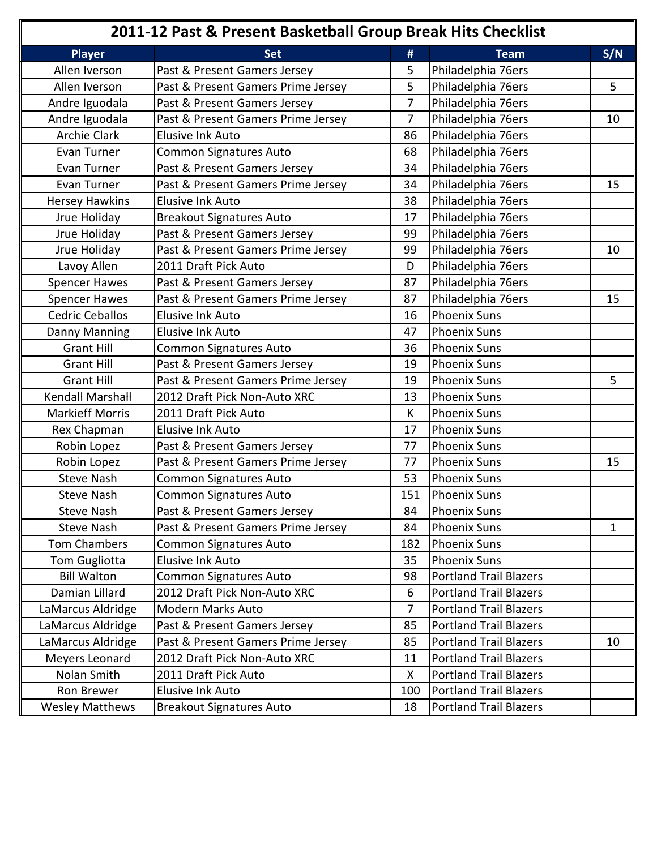|                        | 2011-12 Past & Present Basketball Group Break Hits Checklist |                |                               |              |
|------------------------|--------------------------------------------------------------|----------------|-------------------------------|--------------|
| <b>Player</b>          | <b>Set</b>                                                   | #              | <b>Team</b>                   | S/N          |
| Allen Iverson          | Past & Present Gamers Jersey                                 | 5              | Philadelphia 76ers            |              |
| Allen Iverson          | Past & Present Gamers Prime Jersey                           | 5              | Philadelphia 76ers            | 5            |
| Andre Iguodala         | Past & Present Gamers Jersey                                 | $\overline{7}$ | Philadelphia 76ers            |              |
| Andre Iguodala         | Past & Present Gamers Prime Jersey                           | 7              | Philadelphia 76ers            | 10           |
| <b>Archie Clark</b>    | <b>Elusive Ink Auto</b>                                      | 86             | Philadelphia 76ers            |              |
| Evan Turner            | <b>Common Signatures Auto</b>                                | 68             | Philadelphia 76ers            |              |
| Evan Turner            | Past & Present Gamers Jersey                                 | 34             | Philadelphia 76ers            |              |
| Evan Turner            | Past & Present Gamers Prime Jersey                           | 34             | Philadelphia 76ers            | 15           |
| <b>Hersey Hawkins</b>  | <b>Elusive Ink Auto</b>                                      | 38             | Philadelphia 76ers            |              |
| Jrue Holiday           | <b>Breakout Signatures Auto</b>                              | 17             | Philadelphia 76ers            |              |
| Jrue Holiday           | Past & Present Gamers Jersey                                 | 99             | Philadelphia 76ers            |              |
| Jrue Holiday           | Past & Present Gamers Prime Jersey                           | 99             | Philadelphia 76ers            | 10           |
| Lavoy Allen            | 2011 Draft Pick Auto                                         | D              | Philadelphia 76ers            |              |
| <b>Spencer Hawes</b>   | Past & Present Gamers Jersey                                 | 87             | Philadelphia 76ers            |              |
| <b>Spencer Hawes</b>   | Past & Present Gamers Prime Jersey                           | 87             | Philadelphia 76ers            | 15           |
| <b>Cedric Ceballos</b> | <b>Elusive Ink Auto</b>                                      | 16             | <b>Phoenix Suns</b>           |              |
| Danny Manning          | <b>Elusive Ink Auto</b>                                      | 47             | <b>Phoenix Suns</b>           |              |
| <b>Grant Hill</b>      | <b>Common Signatures Auto</b>                                | 36             | <b>Phoenix Suns</b>           |              |
| <b>Grant Hill</b>      | Past & Present Gamers Jersey                                 | 19             | <b>Phoenix Suns</b>           |              |
| <b>Grant Hill</b>      | Past & Present Gamers Prime Jersey                           | 19             | <b>Phoenix Suns</b>           | 5            |
| Kendall Marshall       | 2012 Draft Pick Non-Auto XRC                                 | 13             | <b>Phoenix Suns</b>           |              |
| <b>Markieff Morris</b> | 2011 Draft Pick Auto                                         | K              | <b>Phoenix Suns</b>           |              |
| Rex Chapman            | <b>Elusive Ink Auto</b>                                      | 17             | <b>Phoenix Suns</b>           |              |
| Robin Lopez            | Past & Present Gamers Jersey                                 | 77             | <b>Phoenix Suns</b>           |              |
| Robin Lopez            | Past & Present Gamers Prime Jersey                           | 77             | <b>Phoenix Suns</b>           | 15           |
| <b>Steve Nash</b>      | <b>Common Signatures Auto</b>                                | 53             | <b>Phoenix Suns</b>           |              |
| <b>Steve Nash</b>      | Common Signatures Auto                                       | 151            | <b>Phoenix Suns</b>           |              |
| <b>Steve Nash</b>      | Past & Present Gamers Jersey                                 | 84             | <b>Phoenix Suns</b>           |              |
| <b>Steve Nash</b>      | Past & Present Gamers Prime Jersey                           | 84             | <b>Phoenix Suns</b>           | $\mathbf{1}$ |
| <b>Tom Chambers</b>    | Common Signatures Auto                                       | 182            | <b>Phoenix Suns</b>           |              |
| Tom Gugliotta          | Elusive Ink Auto                                             | 35             | <b>Phoenix Suns</b>           |              |
| <b>Bill Walton</b>     | Common Signatures Auto                                       | 98             | <b>Portland Trail Blazers</b> |              |
| Damian Lillard         | 2012 Draft Pick Non-Auto XRC                                 | 6              | <b>Portland Trail Blazers</b> |              |
| LaMarcus Aldridge      | <b>Modern Marks Auto</b>                                     | 7              | <b>Portland Trail Blazers</b> |              |
| LaMarcus Aldridge      | Past & Present Gamers Jersey                                 | 85             | <b>Portland Trail Blazers</b> |              |
| LaMarcus Aldridge      | Past & Present Gamers Prime Jersey                           | 85             | <b>Portland Trail Blazers</b> | 10           |
| Meyers Leonard         | 2012 Draft Pick Non-Auto XRC                                 | 11             | <b>Portland Trail Blazers</b> |              |
| Nolan Smith            | 2011 Draft Pick Auto                                         | X              | <b>Portland Trail Blazers</b> |              |
| Ron Brewer             | <b>Elusive Ink Auto</b>                                      | 100            | <b>Portland Trail Blazers</b> |              |
| <b>Wesley Matthews</b> | <b>Breakout Signatures Auto</b>                              | 18             | Portland Trail Blazers        |              |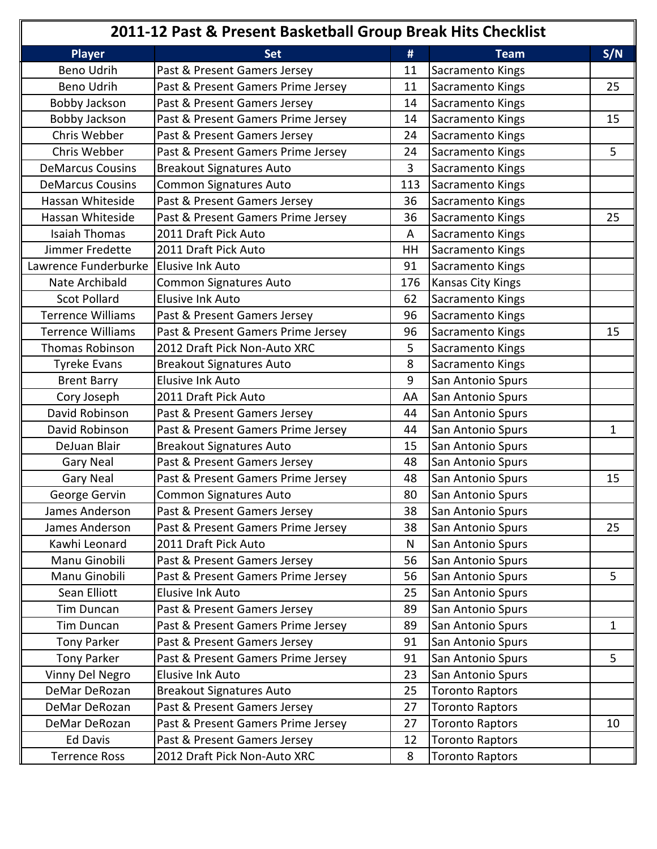| 2011-12 Past & Present Basketball Group Break Hits Checklist |                                    |                |                          |              |
|--------------------------------------------------------------|------------------------------------|----------------|--------------------------|--------------|
| <b>Player</b>                                                | <b>Set</b>                         | #              | <b>Team</b>              | S/N          |
| Beno Udrih                                                   | Past & Present Gamers Jersey       | 11             | Sacramento Kings         |              |
| Beno Udrih                                                   | Past & Present Gamers Prime Jersey | 11             | Sacramento Kings         | 25           |
| Bobby Jackson                                                | Past & Present Gamers Jersey       | 14             | Sacramento Kings         |              |
| Bobby Jackson                                                | Past & Present Gamers Prime Jersey | 14             | Sacramento Kings         | 15           |
| Chris Webber                                                 | Past & Present Gamers Jersey       | 24             | Sacramento Kings         |              |
| Chris Webber                                                 | Past & Present Gamers Prime Jersey | 24             | Sacramento Kings         | 5            |
| <b>DeMarcus Cousins</b>                                      | <b>Breakout Signatures Auto</b>    | $\overline{3}$ | Sacramento Kings         |              |
| <b>DeMarcus Cousins</b>                                      | <b>Common Signatures Auto</b>      | 113            | Sacramento Kings         |              |
| Hassan Whiteside                                             | Past & Present Gamers Jersey       | 36             | Sacramento Kings         |              |
| Hassan Whiteside                                             | Past & Present Gamers Prime Jersey | 36             | Sacramento Kings         | 25           |
| <b>Isaiah Thomas</b>                                         | 2011 Draft Pick Auto               | A              | Sacramento Kings         |              |
| Jimmer Fredette                                              | 2011 Draft Pick Auto               | HH             | Sacramento Kings         |              |
| Lawrence Funderburke                                         | <b>Elusive Ink Auto</b>            | 91             | Sacramento Kings         |              |
| Nate Archibald                                               | Common Signatures Auto             | 176            | <b>Kansas City Kings</b> |              |
| <b>Scot Pollard</b>                                          | <b>Elusive Ink Auto</b>            | 62             | Sacramento Kings         |              |
| <b>Terrence Williams</b>                                     | Past & Present Gamers Jersey       | 96             | Sacramento Kings         |              |
| <b>Terrence Williams</b>                                     | Past & Present Gamers Prime Jersey | 96             | Sacramento Kings         | 15           |
| <b>Thomas Robinson</b>                                       | 2012 Draft Pick Non-Auto XRC       | 5              | Sacramento Kings         |              |
| <b>Tyreke Evans</b>                                          | <b>Breakout Signatures Auto</b>    | 8              | Sacramento Kings         |              |
| <b>Brent Barry</b>                                           | <b>Elusive Ink Auto</b>            | 9              | San Antonio Spurs        |              |
| Cory Joseph                                                  | 2011 Draft Pick Auto               | AA             | San Antonio Spurs        |              |
| David Robinson                                               | Past & Present Gamers Jersey       | 44             | San Antonio Spurs        |              |
| David Robinson                                               | Past & Present Gamers Prime Jersey | 44             | San Antonio Spurs        | 1            |
| DeJuan Blair                                                 | <b>Breakout Signatures Auto</b>    | 15             | San Antonio Spurs        |              |
| <b>Gary Neal</b>                                             | Past & Present Gamers Jersey       | 48             | San Antonio Spurs        |              |
| <b>Gary Neal</b>                                             | Past & Present Gamers Prime Jersey | 48             | San Antonio Spurs        | 15           |
| George Gervin                                                | Common Signatures Auto             | 80             | San Antonio Spurs        |              |
| James Anderson                                               | Past & Present Gamers Jersey       | 38             | San Antonio Spurs        |              |
| James Anderson                                               | Past & Present Gamers Prime Jersey | 38             | San Antonio Spurs        | 25           |
| Kawhi Leonard                                                | 2011 Draft Pick Auto               | $\mathsf{N}$   | San Antonio Spurs        |              |
| Manu Ginobili                                                | Past & Present Gamers Jersey       | 56             | San Antonio Spurs        |              |
| Manu Ginobili                                                | Past & Present Gamers Prime Jersey | 56             | San Antonio Spurs        | 5            |
| Sean Elliott                                                 | Elusive Ink Auto                   | 25             | San Antonio Spurs        |              |
| Tim Duncan                                                   | Past & Present Gamers Jersey       | 89             | San Antonio Spurs        |              |
| <b>Tim Duncan</b>                                            | Past & Present Gamers Prime Jersey | 89             | San Antonio Spurs        | $\mathbf{1}$ |
| <b>Tony Parker</b>                                           | Past & Present Gamers Jersey       | 91             | San Antonio Spurs        |              |
| Tony Parker                                                  | Past & Present Gamers Prime Jersey | 91             | San Antonio Spurs        | 5            |
| Vinny Del Negro                                              | Elusive Ink Auto                   | 23             | San Antonio Spurs        |              |
| DeMar DeRozan                                                | <b>Breakout Signatures Auto</b>    | 25             | <b>Toronto Raptors</b>   |              |
| DeMar DeRozan                                                | Past & Present Gamers Jersey       | 27             | <b>Toronto Raptors</b>   |              |
| DeMar DeRozan                                                | Past & Present Gamers Prime Jersey | 27             | <b>Toronto Raptors</b>   | 10           |
| <b>Ed Davis</b>                                              | Past & Present Gamers Jersey       | 12             | <b>Toronto Raptors</b>   |              |
| <b>Terrence Ross</b>                                         | 2012 Draft Pick Non-Auto XRC       | 8              | <b>Toronto Raptors</b>   |              |